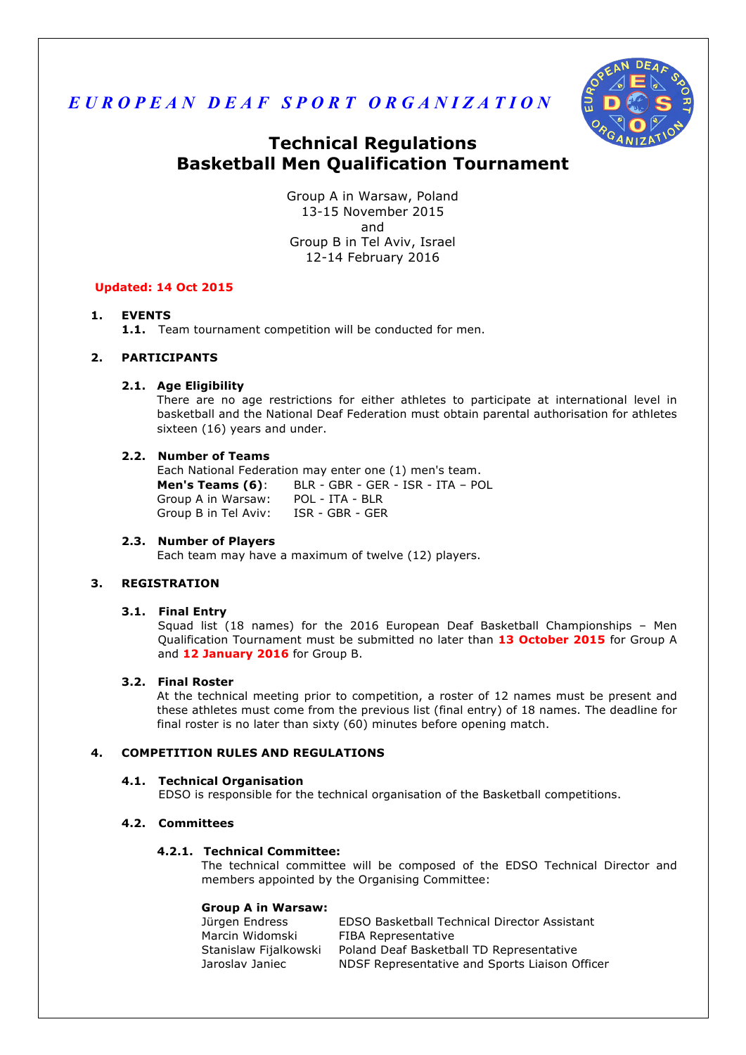



# **Technical Regulations Basketball Men Qualification Tournament**

Group A in Warsaw, Poland 13-15 November 2015 and Group B in Tel Aviv, Israel 12-14 February 2016

# **Updated: 14 Oct 2015**

# **1. EVENTS**

**1.1.** Team tournament competition will be conducted for men.

# **2. PARTICIPANTS**

# **2.1. Age Eligibility**

There are no age restrictions for either athletes to participate at international level in basketball and the National Deaf Federation must obtain parental authorisation for athletes sixteen (16) years and under.

# **2.2. Number of Teams**

Each National Federation may enter one (1) men's team. **Men's Teams (6)**: BLR - GBR - GER - ISR - ITA – POL Group A in Warsaw: POL - ITA - BLR Group B in Tel Aviv: ISR - GBR - GER

## **2.3. Number of Players**

Each team may have a maximum of twelve (12) players.

# **3. REGISTRATION**

## **3.1. Final Entry**

Squad list (18 names) for the 2016 European Deaf Basketball Championships – Men Qualification Tournament must be submitted no later than **13 October 2015** for Group A and **12 January 2016** for Group B.

# **3.2. Final Roster**

At the technical meeting prior to competition, a roster of 12 names must be present and these athletes must come from the previous list (final entry) of 18 names. The deadline for final roster is no later than sixty (60) minutes before opening match.

## **4. COMPETITION RULES AND REGULATIONS**

## **4.1. Technical Organisation**

EDSO is responsible for the technical organisation of the Basketball competitions.

# **4.2. Committees**

# **4.2.1. Technical Committee:**

The technical committee will be composed of the EDSO Technical Director and members appointed by the Organising Committee:

## **Group A in Warsaw:**

| Jürgen Endress        | EDSO Basketball Technical Director Assistant   |
|-----------------------|------------------------------------------------|
| Marcin Widomski       | FIBA Representative                            |
| Stanislaw Fijalkowski | Poland Deaf Basketball TD Representative       |
| Jaroslav Janiec       | NDSF Representative and Sports Liaison Officer |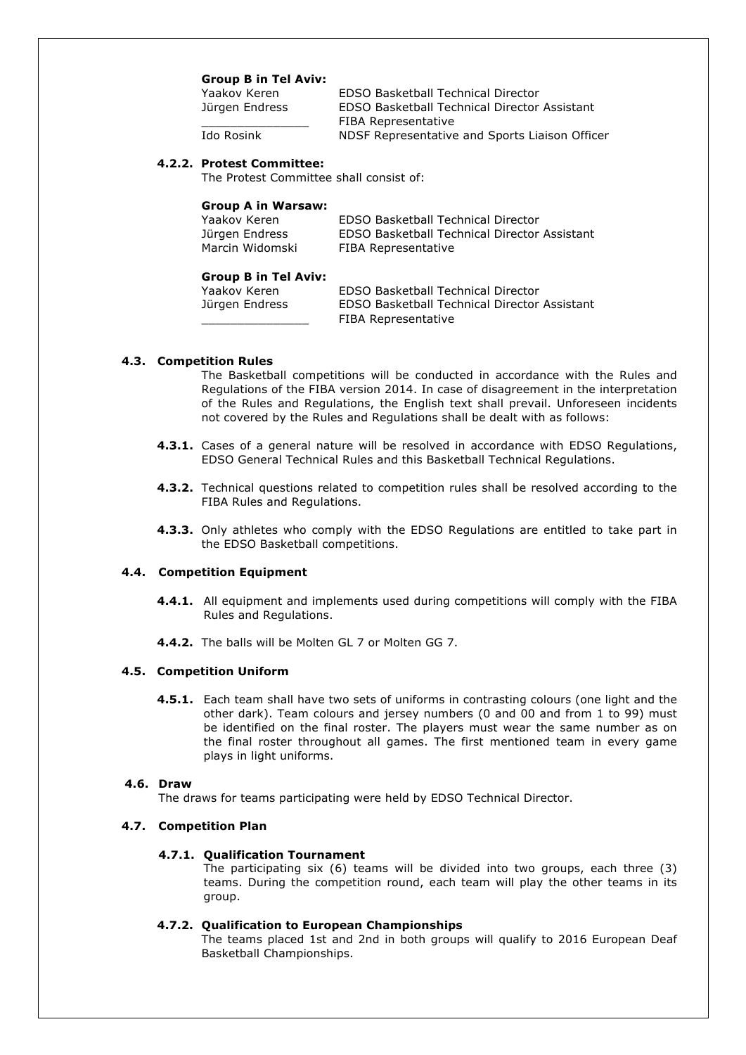#### **Group B in Tel Aviv:**

| Yaakov Keren   | EDSO Basketball Technical Director             |
|----------------|------------------------------------------------|
| Jürgen Endress | EDSO Basketball Technical Director Assistant   |
|                | FIBA Representative                            |
| Ido Rosink     | NDSF Representative and Sports Liaison Officer |
|                |                                                |

#### **4.2.2. Protest Committee:**

The Protest Committee shall consist of:

#### **Group A in Warsaw:**

| Yaakov Keren    | <b>EDSO Basketball Technical Director</b>    |
|-----------------|----------------------------------------------|
| Jürgen Endress  | EDSO Basketball Technical Director Assistant |
| Marcin Widomski | FIBA Representative                          |

#### **Group B in Tel Aviv:**

Yaakov Keren EDSO Basketball Technical Director Jürgen Endress EDSO Basketball Technical Director Assistant \_\_\_\_\_\_\_\_\_\_\_\_\_\_\_ FIBA Representative

#### **4.3. Competition Rules**

The Basketball competitions will be conducted in accordance with the Rules and Regulations of the FIBA version 2014. In case of disagreement in the interpretation of the Rules and Regulations, the English text shall prevail. Unforeseen incidents not covered by the Rules and Regulations shall be dealt with as follows:

- **4.3.1.** Cases of a general nature will be resolved in accordance with EDSO Regulations, EDSO General Technical Rules and this Basketball Technical Regulations.
- **4.3.2.** Technical questions related to competition rules shall be resolved according to the FIBA Rules and Regulations.
- **4.3.3.** Only athletes who comply with the EDSO Regulations are entitled to take part in the EDSO Basketball competitions.

# **4.4. Competition Equipment**

- **4.4.1.** All equipment and implements used during competitions will comply with the FIBA Rules and Regulations.
- **4.4.2.** The balls will be Molten GL 7 or Molten GG 7.

#### **4.5. Competition Uniform**

**4.5.1.** Each team shall have two sets of uniforms in contrasting colours (one light and the other dark). Team colours and jersey numbers (0 and 00 and from 1 to 99) must be identified on the final roster. The players must wear the same number as on the final roster throughout all games. The first mentioned team in every game plays in light uniforms.

#### **4.6. Draw**

The draws for teams participating were held by EDSO Technical Director.

#### **4.7. Competition Plan**

#### **4.7.1. Qualification Tournament**

The participating six (6) teams will be divided into two groups, each three (3) teams. During the competition round, each team will play the other teams in its group.

#### **4.7.2. Qualification to European Championships**

The teams placed 1st and 2nd in both groups will qualify to 2016 European Deaf Basketball Championships.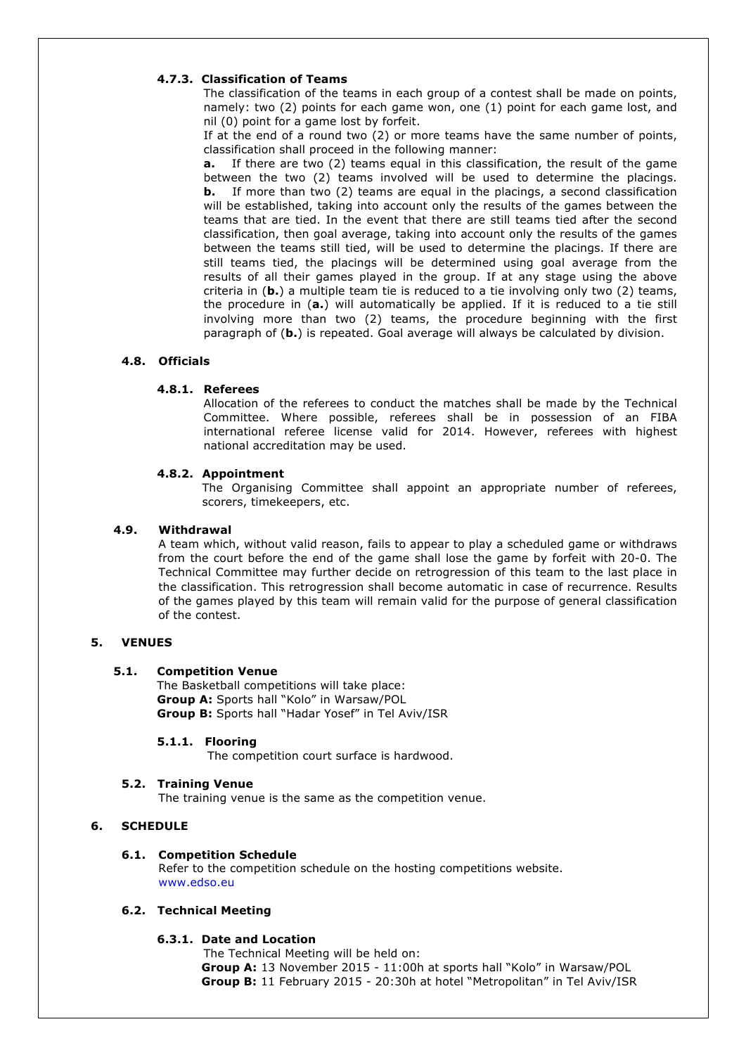# **4.7.3. Classification of Teams**

The classification of the teams in each group of a contest shall be made on points, namely: two (2) points for each game won, one (1) point for each game lost, and nil (0) point for a game lost by forfeit.

If at the end of a round two (2) or more teams have the same number of points, classification shall proceed in the following manner:

**a.** If there are two (2) teams equal in this classification, the result of the game between the two (2) teams involved will be used to determine the placings. **b.** If more than two (2) teams are equal in the placings, a second classification will be established, taking into account only the results of the games between the teams that are tied. In the event that there are still teams tied after the second classification, then goal average, taking into account only the results of the games between the teams still tied, will be used to determine the placings. If there are still teams tied, the placings will be determined using goal average from the results of all their games played in the group. If at any stage using the above criteria in (**b.**) a multiple team tie is reduced to a tie involving only two (2) teams, the procedure in (**a.**) will automatically be applied. If it is reduced to a tie still involving more than two (2) teams, the procedure beginning with the first paragraph of (**b.**) is repeated. Goal average will always be calculated by division.

## **4.8. Officials**

## **4.8.1. Referees**

Allocation of the referees to conduct the matches shall be made by the Technical Committee. Where possible, referees shall be in possession of an FIBA international referee license valid for 2014. However, referees with highest national accreditation may be used.

#### **4.8.2. Appointment**

The Organising Committee shall appoint an appropriate number of referees, scorers, timekeepers, etc.

#### **4.9. Withdrawal**

A team which, without valid reason, fails to appear to play a scheduled game or withdraws from the court before the end of the game shall lose the game by forfeit with 20-0. The Technical Committee may further decide on retrogression of this team to the last place in the classification. This retrogression shall become automatic in case of recurrence. Results of the games played by this team will remain valid for the purpose of general classification of the contest.

# **5. VENUES**

## **5.1. Competition Venue**

The Basketball competitions will take place: **Group A:** Sports hall "Kolo" in Warsaw/POL **Group B:** Sports hall "Hadar Yosef" in Tel Aviv/ISR

#### **5.1.1. Flooring**

The competition court surface is hardwood.

#### **5.2. Training Venue**

The training venue is the same as the competition venue.

## **6. SCHEDULE**

## **6.1. Competition Schedule**

Refer to the competition schedule on the hosting competitions website. www.edso.eu

# **6.2. Technical Meeting**

## **6.3.1. Date and Location**

The Technical Meeting will be held on: **Group A:** 13 November 2015 - 11:00h at sports hall "Kolo" in Warsaw/POL **Group B:** 11 February 2015 - 20:30h at hotel "Metropolitan" in Tel Aviv/ISR